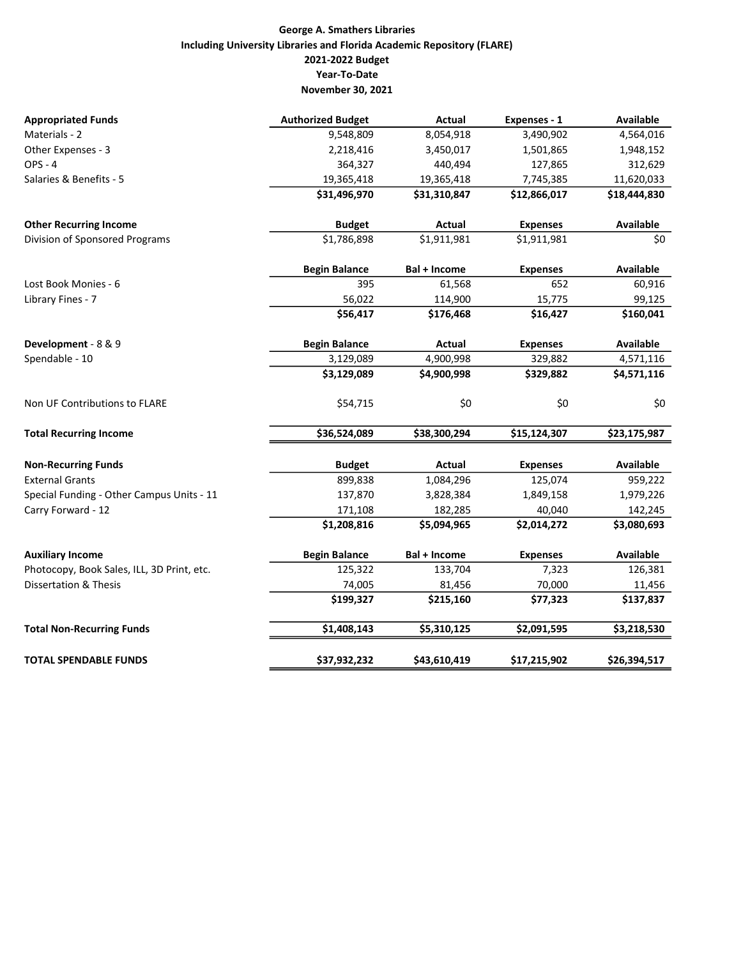## George A. Smathers Libraries Including University Libraries and Florida Academic Repository (FLARE) 2021-2022 Budget Year-To-Date November 30, 2021

| <b>Appropriated Funds</b>                  | <b>Authorized Budget</b> | <b>Actual</b> | Expenses - 1    | <b>Available</b> |
|--------------------------------------------|--------------------------|---------------|-----------------|------------------|
| Materials - 2                              | 9,548,809                | 8,054,918     | 3,490,902       | 4,564,016        |
| Other Expenses - 3                         | 2,218,416                | 3,450,017     | 1,501,865       | 1,948,152        |
| $OPS - 4$                                  | 364,327                  | 440,494       | 127,865         | 312,629          |
| Salaries & Benefits - 5                    | 19,365,418               | 19,365,418    | 7,745,385       | 11,620,033       |
|                                            | \$31,496,970             | \$31,310,847  | \$12,866,017    | \$18,444,830     |
| <b>Other Recurring Income</b>              | <b>Budget</b>            | Actual        | <b>Expenses</b> | <b>Available</b> |
| Division of Sponsored Programs             | \$1,786,898              | \$1,911,981   | \$1,911,981     | \$0              |
|                                            | <b>Begin Balance</b>     | Bal + Income  | <b>Expenses</b> | <b>Available</b> |
| Lost Book Monies - 6                       | 395                      | 61,568        | 652             | 60,916           |
| Library Fines - 7                          | 56,022                   | 114,900       | 15,775          | 99,125           |
|                                            | \$56,417                 | \$176,468     | \$16,427        | \$160,041        |
| Development - 8 & 9                        | <b>Begin Balance</b>     | Actual        | <b>Expenses</b> | <b>Available</b> |
| Spendable - 10                             | 3,129,089                | 4,900,998     | 329,882         | 4,571,116        |
|                                            | \$3,129,089              | \$4,900,998   | \$329,882       | \$4,571,116      |
| Non UF Contributions to FLARE              | \$54,715                 | \$0           | \$0             | \$0              |
| <b>Total Recurring Income</b>              | \$36,524,089             | \$38,300,294  | \$15,124,307    | \$23,175,987     |
| <b>Non-Recurring Funds</b>                 | <b>Budget</b>            | Actual        | <b>Expenses</b> | <b>Available</b> |
| <b>External Grants</b>                     | 899,838                  | 1,084,296     | 125,074         | 959,222          |
| Special Funding - Other Campus Units - 11  | 137,870                  | 3,828,384     | 1,849,158       | 1,979,226        |
| Carry Forward - 12                         | 171,108                  | 182,285       | 40,040          | 142,245          |
|                                            | \$1,208,816              | \$5,094,965   | \$2,014,272     | \$3,080,693      |
| <b>Auxiliary Income</b>                    | <b>Begin Balance</b>     | Bal + Income  | <b>Expenses</b> | <b>Available</b> |
| Photocopy, Book Sales, ILL, 3D Print, etc. | 125,322                  | 133,704       | 7,323           | 126,381          |
| <b>Dissertation &amp; Thesis</b>           | 74,005                   | 81,456        | 70,000          | 11,456           |
|                                            | \$199,327                | \$215,160     | \$77,323        | \$137,837        |
| <b>Total Non-Recurring Funds</b>           | \$1,408,143              | \$5,310,125   | \$2,091,595     | \$3,218,530      |
| <b>TOTAL SPENDABLE FUNDS</b>               | \$37,932,232             | \$43,610,419  | \$17,215,902    | \$26,394,517     |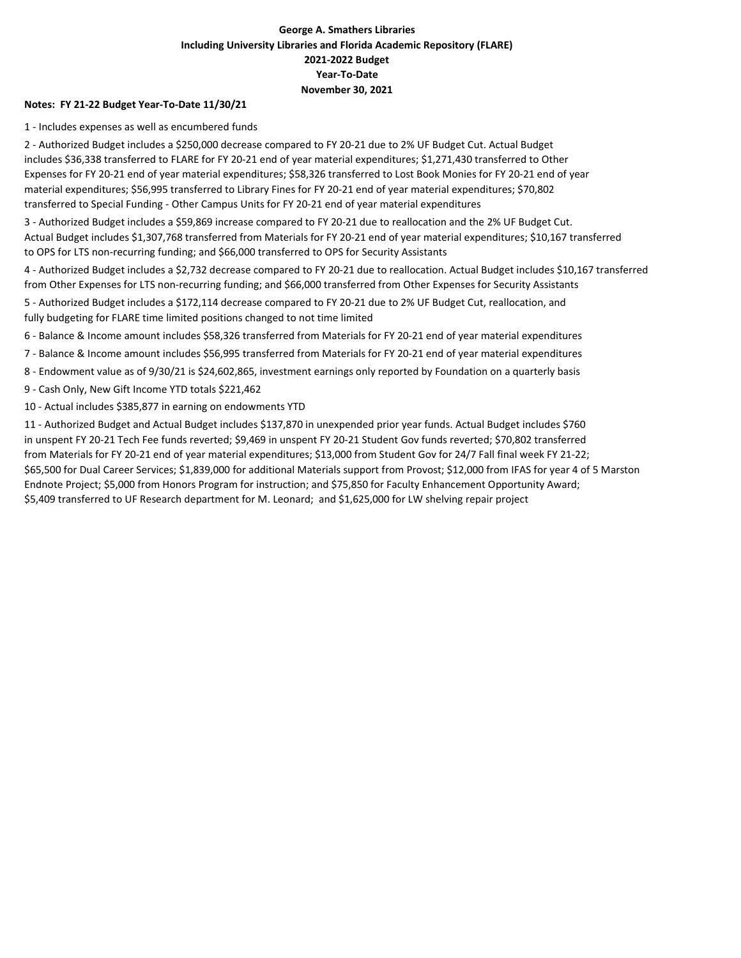## George A. Smathers Libraries Including University Libraries and Florida Academic Repository (FLARE) 2021-2022 Budget Year-To-Date November 30, 2021

#### Notes: FY 21-22 Budget Year-To-Date 11/30/21

1 - Includes expenses as well as encumbered funds

2 - Authorized Budget includes a \$250,000 decrease compared to FY 20-21 due to 2% UF Budget Cut. Actual Budget includes \$36,338 transferred to FLARE for FY 20-21 end of year material expenditures; \$1,271,430 transferred to Other Expenses for FY 20-21 end of year material expenditures; \$58,326 transferred to Lost Book Monies for FY 20-21 end of year material expenditures; \$56,995 transferred to Library Fines for FY 20-21 end of year material expenditures; \$70,802 transferred to Special Funding - Other Campus Units for FY 20-21 end of year material expenditures

3 - Authorized Budget includes a \$59,869 increase compared to FY 20-21 due to reallocation and the 2% UF Budget Cut. Actual Budget includes \$1,307,768 transferred from Materials for FY 20-21 end of year material expenditures; \$10,167 transferred to OPS for LTS non-recurring funding; and \$66,000 transferred to OPS for Security Assistants

4 - Authorized Budget includes a \$2,732 decrease compared to FY 20-21 due to reallocation. Actual Budget includes \$10,167 transferred from Other Expenses for LTS non-recurring funding; and \$66,000 transferred from Other Expenses for Security Assistants

5 - Authorized Budget includes a \$172,114 decrease compared to FY 20-21 due to 2% UF Budget Cut, reallocation, and fully budgeting for FLARE time limited positions changed to not time limited

6 - Balance & Income amount includes \$58,326 transferred from Materials for FY 20-21 end of year material expenditures

7 - Balance & Income amount includes \$56,995 transferred from Materials for FY 20-21 end of year material expenditures

8 - Endowment value as of 9/30/21 is \$24,602,865, investment earnings only reported by Foundation on a quarterly basis

9 - Cash Only, New Gift Income YTD totals \$221,462

10 - Actual includes \$385,877 in earning on endowments YTD

11 - Authorized Budget and Actual Budget includes \$137,870 in unexpended prior year funds. Actual Budget includes \$760 in unspent FY 20-21 Tech Fee funds reverted; \$9,469 in unspent FY 20-21 Student Gov funds reverted; \$70,802 transferred from Materials for FY 20-21 end of year material expenditures; \$13,000 from Student Gov for 24/7 Fall final week FY 21-22; \$65,500 for Dual Career Services; \$1,839,000 for additional Materials support from Provost; \$12,000 from IFAS for year 4 of 5 Marston Endnote Project; \$5,000 from Honors Program for instruction; and \$75,850 for Faculty Enhancement Opportunity Award; \$5,409 transferred to UF Research department for M. Leonard; and \$1,625,000 for LW shelving repair project